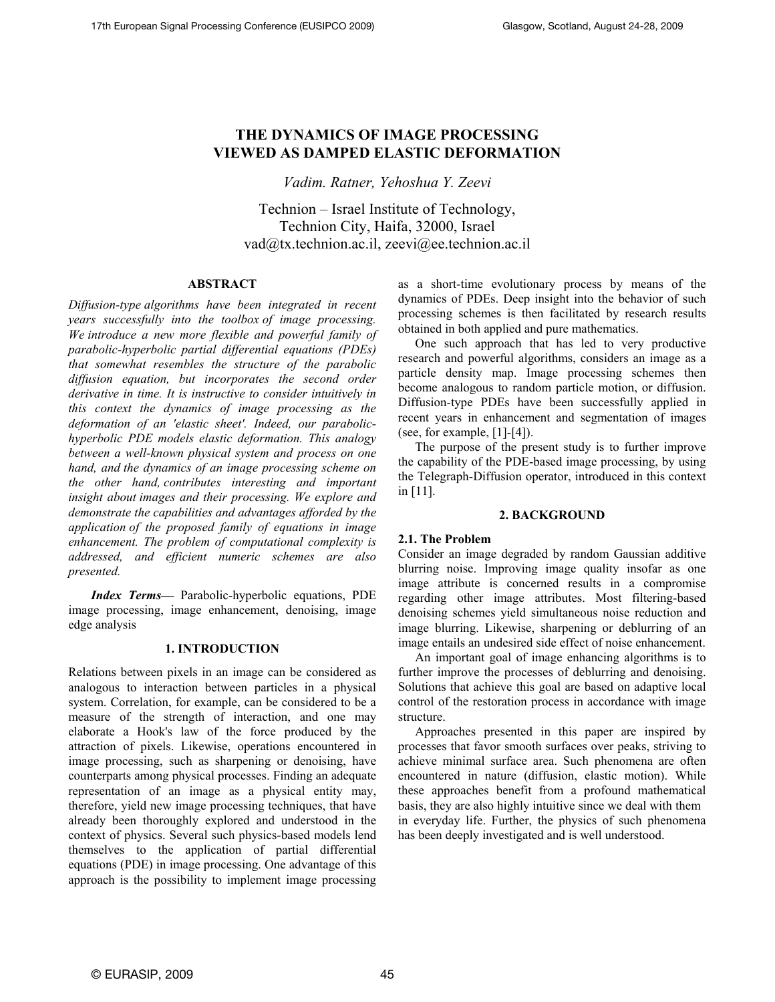# **THE DYNAMICS OF IMAGE PROCESSING VIEWED AS DAMPED ELASTIC DEFORMATION**

*Vadim. Ratner, Yehoshua Y. Zeevi* 

Technion – Israel Institute of Technology, Technion City, Haifa, 32000, Israel vad@tx.technion.ac.il, zeevi@ee.technion.ac.il

### **ABSTRACT**

*Diffusion-type algorithms have been integrated in recent years successfully into the toolbox of image processing. We introduce a new more flexible and powerful family of parabolic-hyperbolic partial differential equations (PDEs) that somewhat resembles the structure of the parabolic diffusion equation, but incorporates the second order derivative in time. It is instructive to consider intuitively in this context the dynamics of image processing as the deformation of an 'elastic sheet'. Indeed, our parabolichyperbolic PDE models elastic deformation. This analogy between a well-known physical system and process on one hand, and the dynamics of an image processing scheme on the other hand, contributes interesting and important insight about images and their processing. We explore and demonstrate the capabilities and advantages afforded by the application of the proposed family of equations in image enhancement. The problem of computational complexity is addressed, and efficient numeric schemes are also presented.* 

*Index Terms—* Parabolic-hyperbolic equations, PDE image processing, image enhancement, denoising, image edge analysis

## **1. INTRODUCTION**

Relations between pixels in an image can be considered as analogous to interaction between particles in a physical system. Correlation, for example, can be considered to be a measure of the strength of interaction, and one may elaborate a Hook's law of the force produced by the attraction of pixels. Likewise, operations encountered in image processing, such as sharpening or denoising, have counterparts among physical processes. Finding an adequate representation of an image as a physical entity may, therefore, yield new image processing techniques, that have already been thoroughly explored and understood in the context of physics. Several such physics-based models lend themselves to the application of partial differential equations (PDE) in image processing. One advantage of this approach is the possibility to implement image processing as a short-time evolutionary process by means of the dynamics of PDEs. Deep insight into the behavior of such processing schemes is then facilitated by research results obtained in both applied and pure mathematics.

One such approach that has led to very productive research and powerful algorithms, considers an image as a particle density map. Image processing schemes then become analogous to random particle motion, or diffusion. Diffusion-type PDEs have been successfully applied in recent years in enhancement and segmentation of images (see, for example, [1]-[4]).

The purpose of the present study is to further improve the capability of the PDE-based image processing, by using the Telegraph-Diffusion operator, introduced in this context in [11].

## **2. BACKGROUND**

## **2.1. The Problem**

Consider an image degraded by random Gaussian additive blurring noise. Improving image quality insofar as one image attribute is concerned results in a compromise regarding other image attributes. Most filtering-based denoising schemes yield simultaneous noise reduction and image blurring. Likewise, sharpening or deblurring of an image entails an undesired side effect of noise enhancement.

An important goal of image enhancing algorithms is to further improve the processes of deblurring and denoising. Solutions that achieve this goal are based on adaptive local control of the restoration process in accordance with image structure.

Approaches presented in this paper are inspired by processes that favor smooth surfaces over peaks, striving to achieve minimal surface area. Such phenomena are often encountered in nature (diffusion, elastic motion). While these approaches benefit from a profound mathematical basis, they are also highly intuitive since we deal with them in everyday life. Further, the physics of such phenomena has been deeply investigated and is well understood.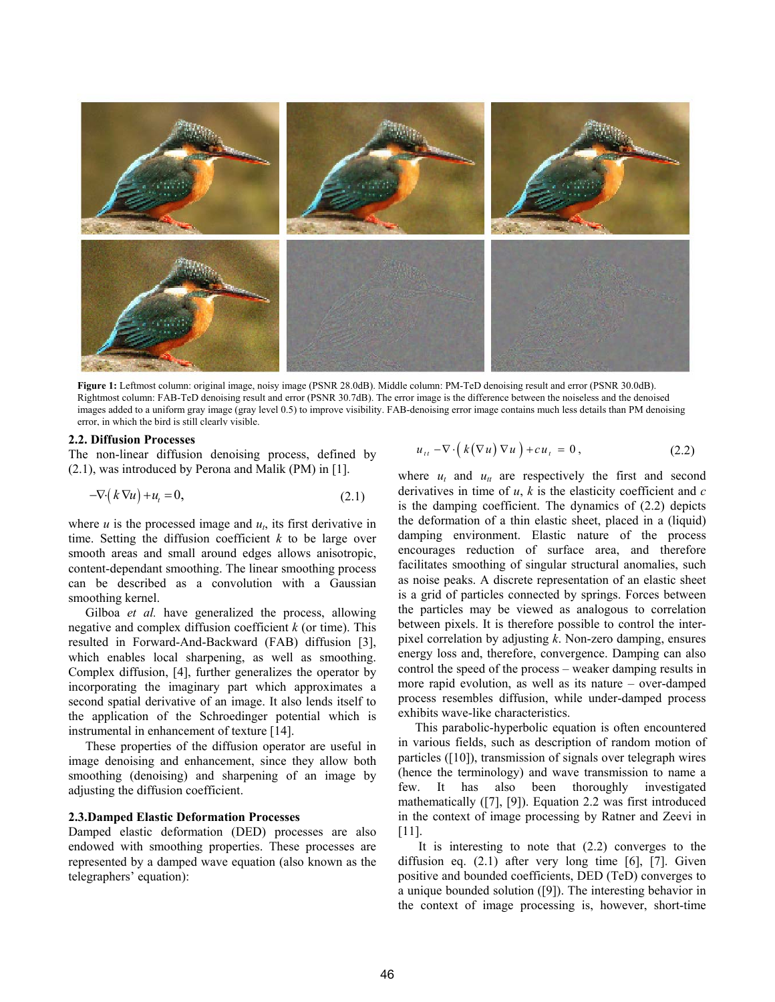

**Figure 1:** Leftmost column: original image, noisy image (PSNR 28.0dB). Middle column: PM-TeD denoising result and error (PSNR 30.0dB). Rightmost column: FAB-TeD denoising result and error (PSNR 30.7dB). The error image is the difference between the noiseless and the denoised images added to a uniform gray image (gray level 0.5) to improve visibility. FAB-denoising error image contains much less details than PM denoising error, in which the bird is still clearly visible.

#### **2.2. Diffusion Processes**

The non-linear diffusion denoising process, defined by (2.1), was introduced by Perona and Malik (PM) in [1].

$$
-\nabla \cdot (k \nabla u) + u_t = 0, \qquad (2.1)
$$

where  $u$  is the processed image and  $u_t$ , its first derivative in time. Setting the diffusion coefficient *k* to be large over smooth areas and small around edges allows anisotropic, content-dependant smoothing. The linear smoothing process can be described as a convolution with a Gaussian smoothing kernel.

Gilboa *et al.* have generalized the process, allowing negative and complex diffusion coefficient *k* (or time). This resulted in Forward-And-Backward (FAB) diffusion [3], which enables local sharpening, as well as smoothing. Complex diffusion, [4], further generalizes the operator by incorporating the imaginary part which approximates a second spatial derivative of an image. It also lends itself to the application of the Schroedinger potential which is instrumental in enhancement of texture [14].

These properties of the diffusion operator are useful in image denoising and enhancement, since they allow both smoothing (denoising) and sharpening of an image by adjusting the diffusion coefficient.

### **2.3.Damped Elastic Deformation Processes**

Damped elastic deformation (DED) processes are also endowed with smoothing properties. These processes are represented by a damped wave equation (also known as the telegraphers' equation):

$$
u_{tt} - \nabla \cdot \left( k(\nabla u) \nabla u \right) + cu_t = 0, \qquad (2.2)
$$

where  $u_t$  and  $u_{tt}$  are respectively the first and second derivatives in time of *u*, *k* is the elasticity coefficient and *c* is the damping coefficient. The dynamics of (2.2) depicts the deformation of a thin elastic sheet, placed in a (liquid) damping environment. Elastic nature of the process encourages reduction of surface area, and therefore facilitates smoothing of singular structural anomalies, such as noise peaks. A discrete representation of an elastic sheet is a grid of particles connected by springs. Forces between the particles may be viewed as analogous to correlation between pixels. It is therefore possible to control the interpixel correlation by adjusting *k*. Non-zero damping, ensures energy loss and, therefore, convergence. Damping can also control the speed of the process – weaker damping results in more rapid evolution, as well as its nature – over-damped process resembles diffusion, while under-damped process exhibits wave-like characteristics.

This parabolic-hyperbolic equation is often encountered in various fields, such as description of random motion of particles ([10]), transmission of signals over telegraph wires (hence the terminology) and wave transmission to name a few. It has also been thoroughly investigated mathematically ([7], [9]). Equation 2.2 was first introduced in the context of image processing by Ratner and Zeevi in [11].

 It is interesting to note that (2.2) converges to the diffusion eq. (2.1) after very long time [6], [7]. Given positive and bounded coefficients, DED (TeD) converges to a unique bounded solution ([9]). The interesting behavior in the context of image processing is, however, short-time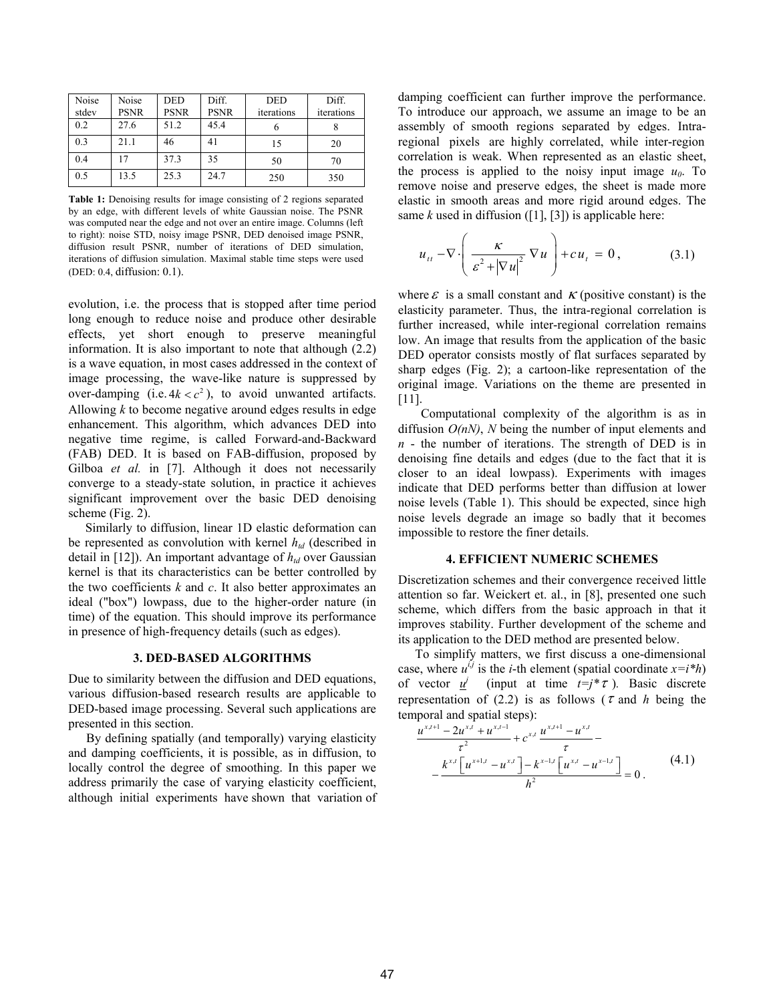| Noise<br>stdev | Noise<br><b>PSNR</b> | <b>DED</b><br><b>PSNR</b> | Diff.<br><b>PSNR</b> | <b>DED</b><br>iterations | Diff.<br>iterations |
|----------------|----------------------|---------------------------|----------------------|--------------------------|---------------------|
| 0.2            | 27.6                 | 51.2                      | 45.4                 | O                        |                     |
| 0.3            | 21.1                 | 46                        | 41                   | 15                       | 20                  |
| 0.4            | 17                   | 37.3                      | 35                   | 50                       | 70                  |
| 0.5            | 13.5                 | 25.3                      | 24.7                 | 250                      | 350                 |

**Table 1:** Denoising results for image consisting of 2 regions separated by an edge, with different levels of white Gaussian noise. The PSNR was computed near the edge and not over an entire image. Columns (left to right): noise STD, noisy image PSNR, DED denoised image PSNR, diffusion result PSNR, number of iterations of DED simulation, iterations of diffusion simulation. Maximal stable time steps were used (DED: 0.4, diffusion: 0.1).

evolution, i.e. the process that is stopped after time period long enough to reduce noise and produce other desirable effects, yet short enough to preserve meaningful information. It is also important to note that although (2.2) is a wave equation, in most cases addressed in the context of image processing, the wave-like nature is suppressed by over-damping (i.e.  $4k < c^2$ ), to avoid unwanted artifacts. Allowing *k* to become negative around edges results in edge enhancement. This algorithm, which advances DED into negative time regime, is called Forward-and-Backward (FAB) DED. It is based on FAB-diffusion, proposed by Gilboa *et al.* in [7]. Although it does not necessarily converge to a steady-state solution, in practice it achieves significant improvement over the basic DED denoising scheme (Fig. 2).

Similarly to diffusion, linear 1D elastic deformation can be represented as convolution with kernel  $h_{td}$  (described in detail in [12]). An important advantage of  $h_{td}$  over Gaussian kernel is that its characteristics can be better controlled by the two coefficients *k* and *c*. It also better approximates an ideal ("box") lowpass, due to the higher-order nature (in time) of the equation. This should improve its performance in presence of high-frequency details (such as edges).

#### **3. DED-BASED ALGORITHMS**

Due to similarity between the diffusion and DED equations, various diffusion-based research results are applicable to DED-based image processing. Several such applications are presented in this section.

By defining spatially (and temporally) varying elasticity and damping coefficients, it is possible, as in diffusion, to locally control the degree of smoothing. In this paper we address primarily the case of varying elasticity coefficient, although initial experiments have shown that variation of damping coefficient can further improve the performance. To introduce our approach, we assume an image to be an assembly of smooth regions separated by edges. Intraregional pixels are highly correlated, while inter-region correlation is weak. When represented as an elastic sheet, the process is applied to the noisy input image  $u_0$ . To remove noise and preserve edges, the sheet is made more elastic in smooth areas and more rigid around edges. The same  $k$  used in diffusion ([1], [3]) is applicable here:

$$
u_{tt} - \nabla \cdot \left(\frac{\kappa}{\varepsilon^2 + |\nabla u|^2} \nabla u\right) + cu_t = 0, \qquad (3.1)
$$

where  $\epsilon$  is a small constant and  $\kappa$  (positive constant) is the elasticity parameter. Thus, the intra-regional correlation is further increased, while inter-regional correlation remains low. An image that results from the application of the basic DED operator consists mostly of flat surfaces separated by sharp edges (Fig. 2); a cartoon-like representation of the original image. Variations on the theme are presented in [11].

Computational complexity of the algorithm is as in diffusion *O(nN)*, *N* being the number of input elements and *n* - the number of iterations. The strength of DED is in denoising fine details and edges (due to the fact that it is closer to an ideal lowpass). Experiments with images indicate that DED performs better than diffusion at lower noise levels (Table 1). This should be expected, since high noise levels degrade an image so badly that it becomes impossible to restore the finer details.

### **4. EFFICIENT NUMERIC SCHEMES**

Discretization schemes and their convergence received little attention so far. Weickert et. al., in [8], presented one such scheme, which differs from the basic approach in that it improves stability. Further development of the scheme and its application to the DED method are presented below.

To simplify matters, we first discuss a one-dimensional case, where  $u^{i,j}$  is the *i*-th element (spatial coordinate  $x = i *h$ ) of vector  $\underline{u}^j$  (input at time  $t=j^*\tau$ ). Basic discrete representation of (2.2) is as follows ( $\tau$  and *h* being the temporal and spatial steps):

$$
\frac{u^{x,t+1} - 2u^{x,t} + u^{x,t-1}}{\tau^2} + c^{x,t} \frac{u^{x,t+1} - u^{x,t}}{\tau} - \frac{k^{x,t} \left[ u^{x+1,t} - u^{x,t} \right] - k^{x-1,t} \left[ u^{x,t} - u^{x-1,t} \right]}{h^2} = 0.
$$
 (4.1)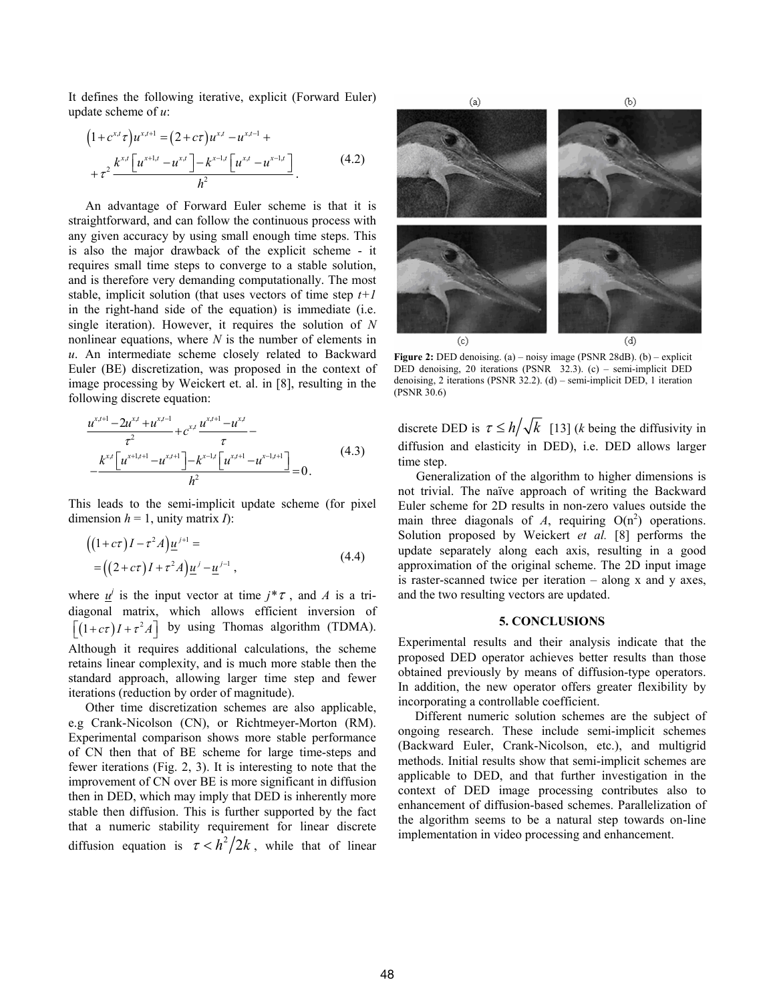It defines the following iterative, explicit (Forward Euler) update scheme of *u*:

$$
(1 + c^{x,t} \tau) u^{x,t+1} = (2 + c\tau) u^{x,t} - u^{x,t-1} ++ \tau^2 \frac{k^{x,t} \left[ u^{x+1,t} - u^{x,t} \right] - k^{x-1,t} \left[ u^{x,t} - u^{x-1,t} \right]}{h^2}.
$$
 (4.2)

An advantage of Forward Euler scheme is that it is straightforward, and can follow the continuous process with any given accuracy by using small enough time steps. This is also the major drawback of the explicit scheme - it requires small time steps to converge to a stable solution, and is therefore very demanding computationally. The most stable, implicit solution (that uses vectors of time step *t+1* in the right-hand side of the equation) is immediate (i.e. single iteration). However, it requires the solution of *N* nonlinear equations, where *N* is the number of elements in *u*. An intermediate scheme closely related to Backward Euler (BE) discretization, was proposed in the context of image processing by Weickert et. al. in [8], resulting in the following discrete equation:

$$
\frac{u^{x,t+1} - 2u^{x,t} + u^{x,t-1}}{\tau^2} + c^{x,t} \frac{u^{x,t+1} - u^{x,t}}{\tau} - \frac{k^{x,t} \left[ u^{x,t+1} - u^{x,t+1} \right] - k^{x-1,t} \left[ u^{x,t+1} - u^{x-1,t+1} \right]}{h^2} = 0.
$$
\n(4.3)

This leads to the semi-implicit update scheme (for pixel dimension  $h = 1$ , unity matrix *I*):

$$
\begin{aligned} \left( (1+c\tau)I - \tau^2 A \right) \underline{u}^{j+1} &= \\ &= \left( (2+c\tau)I + \tau^2 A \right) \underline{u}^j - \underline{u}^{j-1} \,, \end{aligned} \tag{4.4}
$$

where  $\underline{u}^j$  is the input vector at time  $j^* \tau$ , and A is a tridiagonal matrix, which allows efficient inversion of  $\left[ (1 + c\tau)I + \tau^2 A \right]$  by using Thomas algorithm (TDMA). Although it requires additional calculations, the scheme retains linear complexity, and is much more stable then the standard approach, allowing larger time step and fewer iterations (reduction by order of magnitude).

Other time discretization schemes are also applicable, e.g Crank-Nicolson (CN), or Richtmeyer-Morton (RM). Experimental comparison shows more stable performance of CN then that of BE scheme for large time-steps and fewer iterations (Fig. 2, 3). It is interesting to note that the improvement of CN over BE is more significant in diffusion then in DED, which may imply that DED is inherently more stable then diffusion. This is further supported by the fact that a numeric stability requirement for linear discrete diffusion equation is  $\tau < h^2/2k$ , while that of linear



**Figure 2:** DED denoising. (a) – noisy image (PSNR 28dB). (b) – explicit DED denoising, 20 iterations (PSNR 32.3). (c) – semi-implicit DED denoising, 2 iterations (PSNR 32.2). (d) – semi-implicit DED, 1 iteration (PSNR 30.6)

discrete DED is  $\tau \leq h/\sqrt{k}$  [13] (*k* being the diffusivity in diffusion and elasticity in DED), i.e. DED allows larger time step.

Generalization of the algorithm to higher dimensions is not trivial. The naïve approach of writing the Backward Euler scheme for 2D results in non-zero values outside the main three diagonals of  $A$ , requiring  $O(n^2)$  operations. Solution proposed by Weickert *et al.* [8] performs the update separately along each axis, resulting in a good approximation of the original scheme. The 2D input image is raster-scanned twice per iteration – along x and y axes, and the two resulting vectors are updated.

#### **5. CONCLUSIONS**

Experimental results and their analysis indicate that the proposed DED operator achieves better results than those obtained previously by means of diffusion-type operators. In addition, the new operator offers greater flexibility by incorporating a controllable coefficient.

Different numeric solution schemes are the subject of ongoing research. These include semi-implicit schemes (Backward Euler, Crank-Nicolson, etc.), and multigrid methods. Initial results show that semi-implicit schemes are applicable to DED, and that further investigation in the context of DED image processing contributes also to enhancement of diffusion-based schemes. Parallelization of the algorithm seems to be a natural step towards on-line implementation in video processing and enhancement.